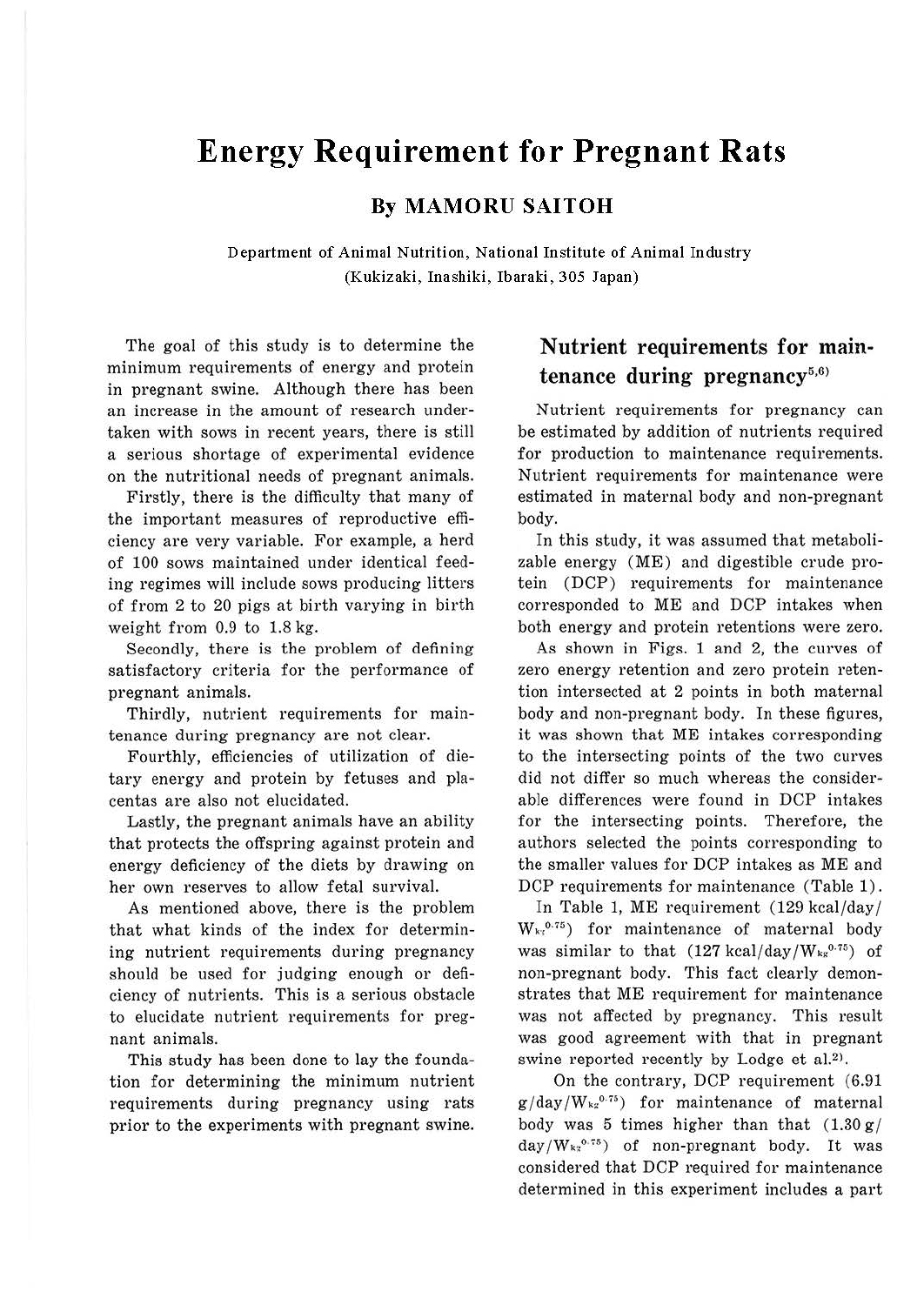# **Energy Requirement for Pregnant Rats**

### **By MAMORU SAITOH**

Department of Animal Nutrition, National Institute of Animal Industry (Kukizaki, Inashiki, Ibaraki, 305 Japan)

The goal of this study is to determine the minimum requirements of energy and protein in pregnant swine. Although there has been an increase in the amount of research undertaken with sows in recent years, there is still a serious shortage of experimental evidence on the nutritional needs of pregnant animals.

Firstly, there is the difficulty that many of the important measures of reproductive efficiency are very variable. For example, a herd of 100 sows maintained under identical feeding regimes will include sows producing litters of from 2 to 20 pigs at birth varying in birth weight from 0.9 to 1.8 kg.

Secondly, there is the problem of defining satisfactory criteria for the performance of pregnant animals.

Thirdly, nutrient requirements for maintenance during pregnancy are not clear.

Fourthly, efficiencies of utilization of dietary energy and protein by fetuses and placentas are also not elucidated.

Lastly, the pregnant animals have an ability that protects the offspring against protein and energy deficiency of the diets by drawing on her own reserves to allow fetal survival.

As mentioned above, there is the problem that what kinds of the index for determining nutrient requirements during pregnancy should be used for judging enough or deficiency of nutrients. This is a serious obstacle to elucidate nutrient requirements for pregnant animals.

This study has been done to lay the foundation for determining the minimum nutrient requirements during pregnancy using rats prior to the experiments with pregnant swine.

## **Nutrient requirements for main**tenance during pregnancy<sup>5,6)</sup>

Nutrient requirements for pregnancy can be estimated by addition of nutrients required for production to maintenance requirements. Nutrient requirements for maintenance were estimated in maternal body and non-pregnant body.

In this study, it was assumed that metabolizable energy (ME) and digestible crude protein (DCP) requirements for maintenance corresponded to ME and DCP intakes when both energy and protein retentions were zero.

As shown in Figs. 1 and 2, the curves of zero energy retention and zero protein retention intersected at 2 points in both maternal body and non-pregnant body. In these figures, it was shown that ME intakes corresponding to the intersecting points of the two curves did not differ so much whereas the considerable differences were found in DCP intakes for the intersecting points. Therefore, the authors selected the points corresponding to the smaller values for DCP intakes as ME and DCP requirements for maintenance (Table 1).

In Table 1, ME requirement (129 kcal/day/  $W_{k7}$ <sup>0.75</sup>) for maintenance of maternal body was similar to that  $(127 \text{ kcal/day}/W_{kg}^{0.75})$  of non-pregnant body. This fact clearly demonstrates that ME requirement for maintenance was not affected by pregnancy. This result was good agreement with that in pregnant swine reported recently by Lodge et al.<sup>2)</sup>.

On the contrary, DCP requirement (6.91  $g / day / W_{\kappa}^{0.75}$  for maintenance of maternal body was 5 times higher than that  $(1.30 g)$  $day/W_{\kappa_2}$ <sup>0.75</sup>) of non-pregnant body. It was considered that DCP required for maintenance determined in this experiment includes a part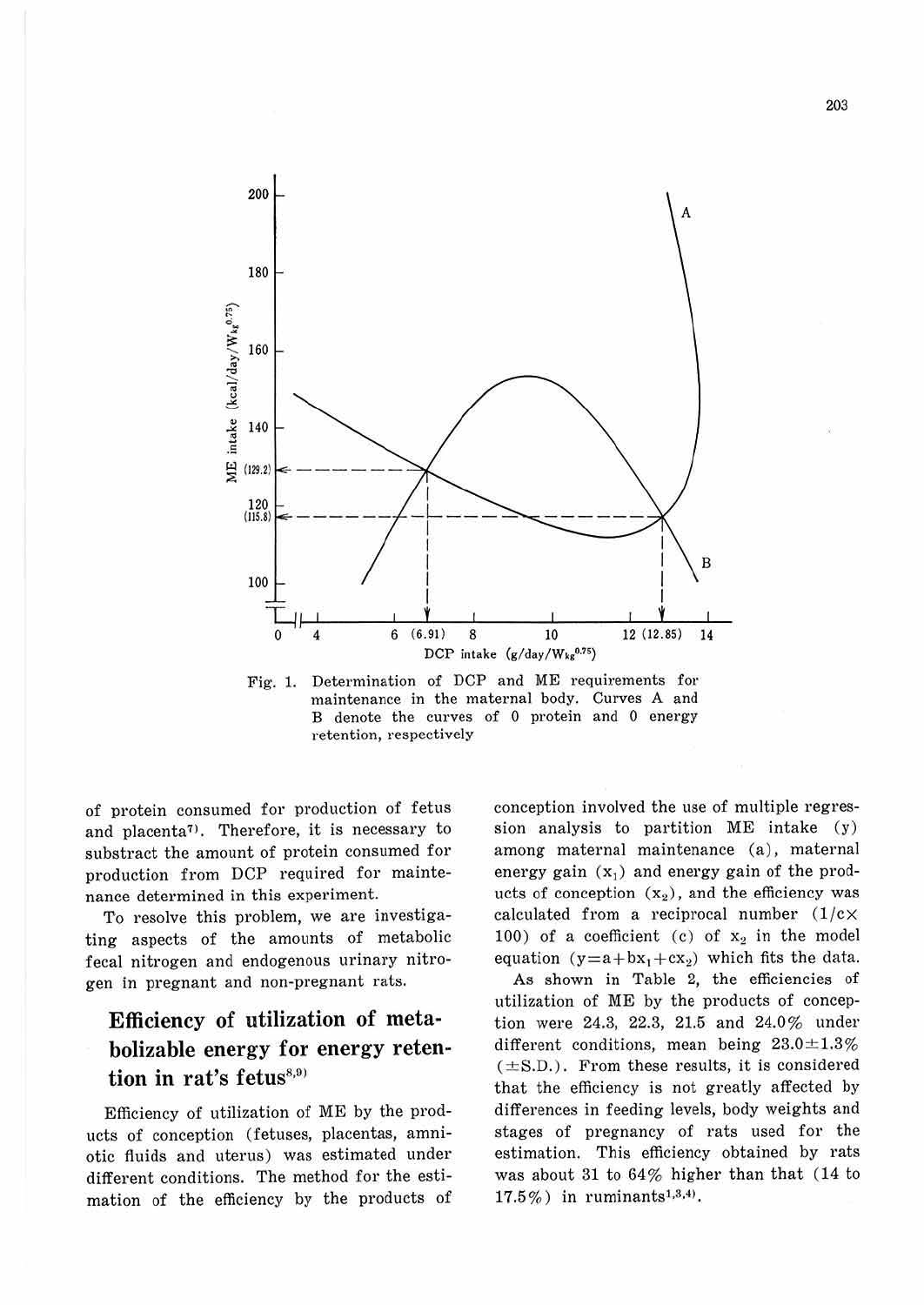

Fig. 1. Determination of DCP and ME requirements for maintenance in the maternal body. Curves **A** and B denote the curves of O protein and O energy retention, respectively

of protein consumed for production of fetus and placenta<sup>7</sup>). Therefore, it is necessary to substract the amount of protein consumed for production from DCP required for maintenance determined in this experiment.

To resolve this problem, we are investigating aspects of the amounts of metabolic fecal nitrogen and endogenous urinary nitrogen in pregnant and non-pregnant rats.

# **Efficiency of utilization of metabolizable energy for energy retention in rat's fetus**<sup>8,9)</sup>

Efficiency of utilization of ME by the products of conception (fetuses, placentas, amniotic fluids and uterus) was estimated under different conditions. The method for the estimation of the efficiency by the products of conception involved the use of multiple regression analysis to partition ME intake (y) among maternal maintenance (a), maternal energy gain  $(x_1)$  and energy gain of the products of conception  $(x_2)$ , and the efficiency was calculated from a reciprocal number  $(1/c \times$ 100) of a coefficient (c) of  $x_2$  in the model equation  $(y=a + bx_1 + cx_2)$  which fits the data.

As shown in Table 2, the efficiencies of utilization of ME by the products of conception were 24.3, 22.3, 21.5 and 24.0% under different conditions, mean being  $23.0 \pm 1.3\%$  $(\pm S.D.)$ . From these results, it is considered that the efficiency is not greatly affected by differences in feeding levels, body weights and stages of pregnancy of rats used for the estimation. This efficiency obtained by rats was about 31 to 64% higher than that (14 to  $17.5\%$ ) in ruminants<sup>1,3,4)</sup>.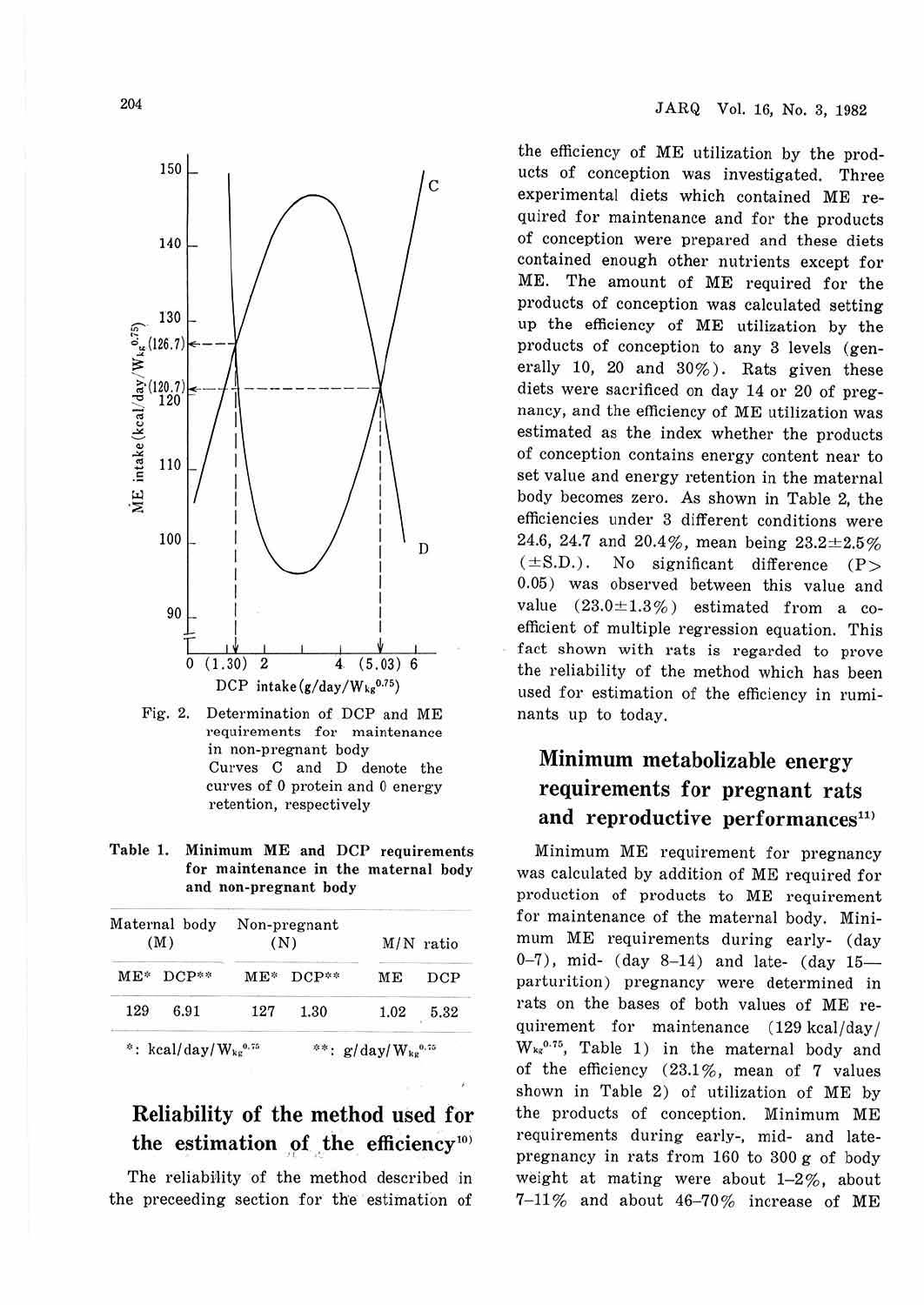204



Fig. 2. Determination of DCP and ME requirements for maintenance in non-pregnant body Curves C and D denote the curves of O protein and O energy retention, respectively

**Table 1. Minimum ME and DCP requirements for maintenance in the maternal body and non-pregnant body** 

|     | Maternal body<br>(M) |           | Non-pregnant<br>(N) |  | $M/N$ ratio |      |
|-----|----------------------|-----------|---------------------|--|-------------|------|
|     | ME* DCP**            |           | ME* DCP**           |  | ME          | DCP  |
| 129 | 6.91                 | 127       | 1.30                |  | 1.02        | 5.32 |
|     | $A = 1$ $111$        | $41 - 44$ | and the first party |  |             | .    |

 $\cdot$ : kcal/day/W<sub>ks</sub><sup>0.75</sup>  $*$  g/day/ $W_{kg}^{0.75}$ 

### Reliability of the method used for the estimation of the efficiency<sup>10)</sup>

The reliability of the method described in the preceeding section for the estimation of the efficiency of ME utilization by the products of conception was investigated. Three experimental diets which contained ME required for maintenance and for the products of conception were prepared and these diets contained enough other nutrients except for ME. The amount of ME required for the products of conception was calculated setting up the efficiency of **ME** utilization by the products of conception to any 3 levels (generally 10, 20 and  $30\%$ ). Rats given these diets were sacrificed on day 14 or 20 of pregnancy, and the efficiency of ME utilization was estimated as the index whether the products of conception contains energy content near to set value and energy retention in the maternal body becomes zero. As shown in Table 2, the efficiencies under 3 different conditions were 24.6, 24.7 and 20.4%, mean being  $23.2 \pm 2.5\%$  $(\pm S.D.)$ . No significant difference  $(P >$ 0.05) was observed between this value and value  $(23.0 \pm 1.3\%)$  estimated from a coefficient of multiple regression equation. This fact shown with rats is regarded to prove the reliability of the method which has been used for estimation of the efficiency in ruminants up to today.

# **Minimum** metabolizable energy requirements for pregnant rats and reproductive performances $11$

Minimum ME requirement for pregnancy was calculated by addition of ME required for production of products to ME requirement for maintenance of the maternal body. Minimum ME requirements during early- (day 0-7), mid- (day 8-14) and late- (day  $15$ parturition) pregnancy were determined in rats on the bases of both values of ME requirement for maintenance (129 kcal/day/ W<sub>kg</sub><sup>0.75</sup>, Table 1) in the maternal body and of the efficiency (23.1%, mean of 7 values shown in Table 2) of utilization of ME by the products of conception. Minimum ME requirements during early-, mid- and latepregnancy in rats from 160 to 300 g of body weight at mating were about  $1-2\%$ , about 7-11 % and about 46-70% increase of ME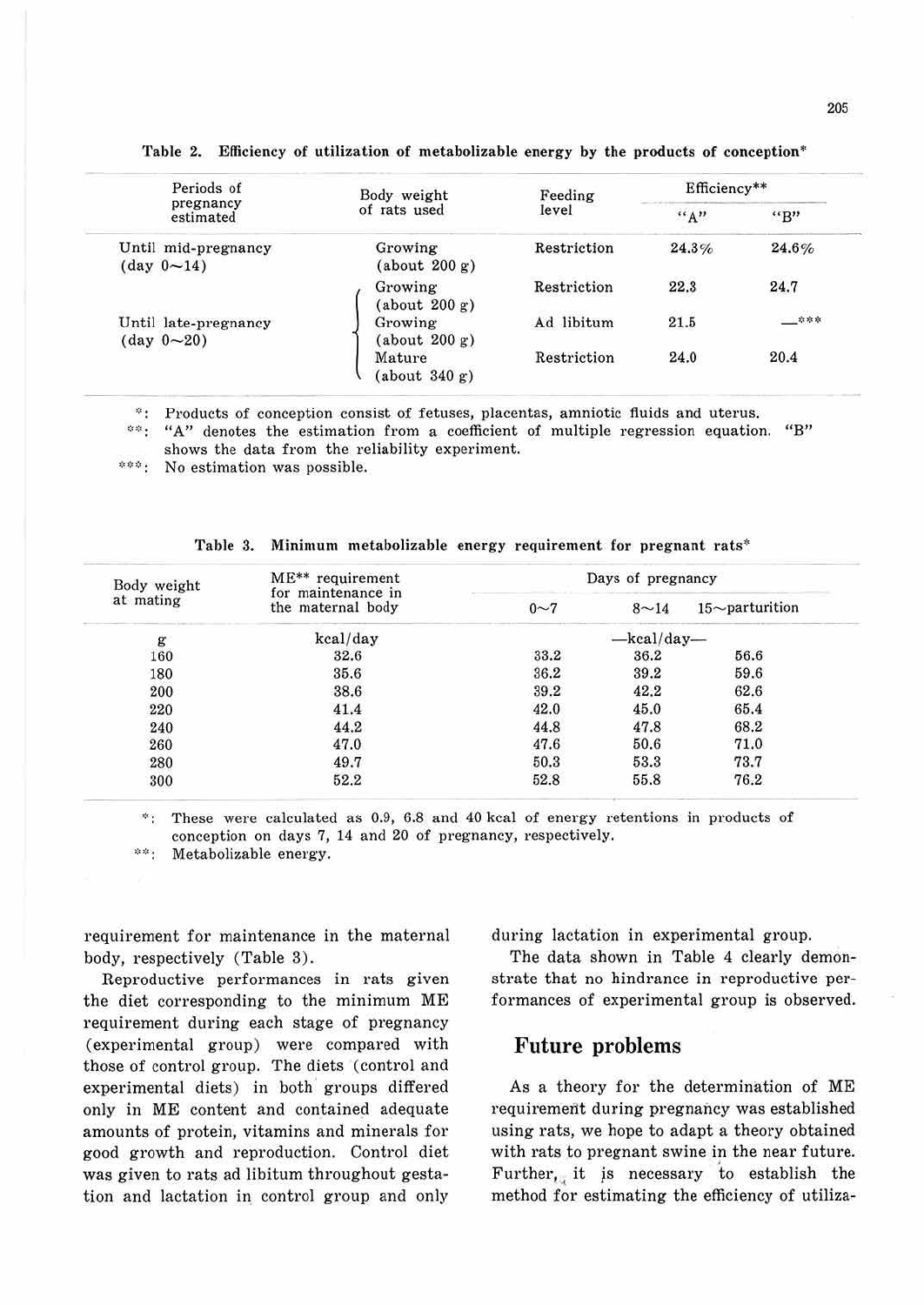| Periods of                                        | Body weight              | Feeding     | Efficiency** |       |
|---------------------------------------------------|--------------------------|-------------|--------------|-------|
| pregnancy<br>estimated                            | of rats used             | level       | "A"          | "B"   |
| Until mid-pregnancy<br>(day 0~14)                 | Growing<br>(about 200 g) | Restriction | 24.3%        | 24.6% |
|                                                   | Growing<br>(about 200 g) | Restriction | 22.3         | 24.7  |
| Until late-pregnancy<br>$(\text{day } 0 \sim 20)$ | Growing<br>(about 200 g) | Ad libitum  | 21.5         |       |
|                                                   | Mature<br>(about 340 g)  | Restriction | 24.0         | 20.4  |

Table 2. Efficiency of utilization of metabolizable energy by the products of conception\*

 $\mathcal{D}^{\mathcal{A}}$  . Products of conception consist of fetuses, placentas, amniotic fluids and uterus.

<sup>02</sup>: "A" denotes the estimation from a coefficient of multiple regression equation. "B" shows the data from the reliability experiment.

\*\*\*\* No estimation was possible.

| Body weight | ME** requirement<br>for maintenance in |          | Days of pregnancy |                   |  |
|-------------|----------------------------------------|----------|-------------------|-------------------|--|
| at mating   | the maternal body                      | $0\sim7$ | $8 - 14$          | $15$ ~parturition |  |
| g           | kcal/day                               |          | -kcal/day-        |                   |  |
| 160         | 32.6                                   | 33.2     | 36.2              | 56.6              |  |
| 180         | 35.6                                   | 36.2     | 39.2              | 59.6              |  |
| 200         | 38.6                                   | 39.2     | 42.2              | 62.6              |  |
| 220         | 41.4                                   | 42.0     | 45.0              | 65.4              |  |
| 240         | 44.2                                   | 44.8     | 47.8              | 68.2              |  |
| 260         | 47.0                                   | 47.6     | 50.6              | 71.0              |  |
| 280         | 49.7                                   | 50.3     | 53.3              | 73.7              |  |
| 300         | 52.2                                   | 52.8     | 55.8              | 76.2              |  |

**Table 3. Minimum metabolizable energy requirement for pregnant rats"** 

 $*$ : These were calculated as 0.9, 6.8 and 40 kcal of energy retentions in products of conception on days 7, 14 and 20 of pregnancy, respectively.

 $24.2\%$  . Metabolizable energy.

requirement for maintenance in the maternal body, respectively (Table 3).

Reproductive performances in rats given the diet corresponding to the minimum ME requirement during each stage of pregnancy (experimental group) were compared with those of control group. The diets (control and experimental diets) in both groups differed only in ME content and contained adequate amounts of protein, vitamins and minerals for good growth and reproduction. Control diet was given to rats ad libitum throughout gestation and lactation in control group and only

during lactation in experimental group.

The data shown in Table 4 clearly demonstrate that no hindrance in reproductive performances of experimental group is observed.

#### **Future problems**

As a theory for the determination of ME requirement during pregnancy was established using rats, we hope to adapt a theory obtained with rats to pregnant swine in the near future. Further, it is necessary to establish the method for estimating the efficiency of utiliza-